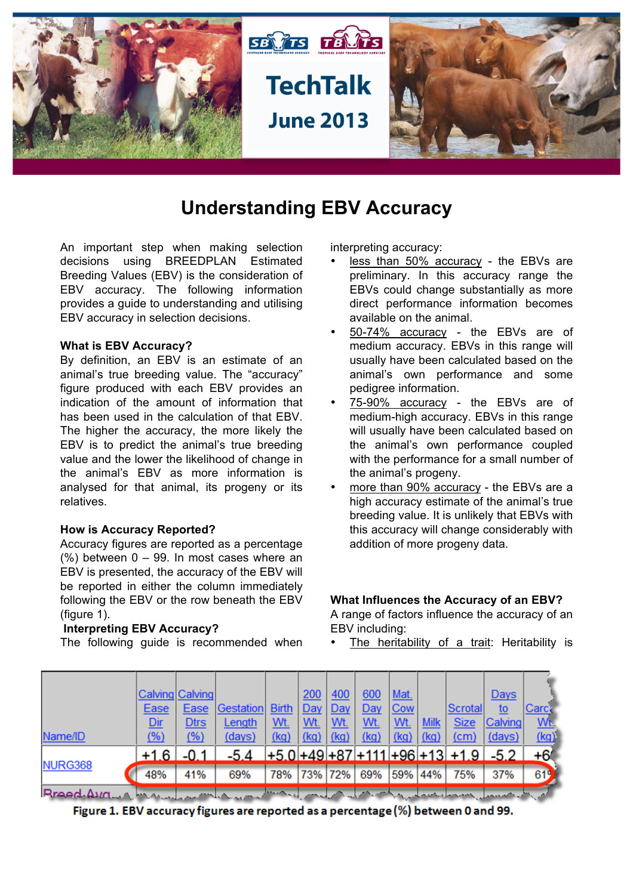

# **Understanding EBV Accuracy**

An important step when making selection decisions using BREEDPLAN Estimated Breeding Values (EBV) is the consideration of EBV accuracy. The following information provides a guide to understanding and utilising EBV accuracy in selection decisions.

#### **What is EBV Accuracy?**

By definition, an EBV is an estimate of an animal's true breeding value. The "accuracy" figure produced with each EBV provides an indication of the amount of information that has been used in the calculation of that EBV. The higher the accuracy, the more likely the EBV is to predict the animal's true breeding value and the lower the likelihood of change in the animal's EBV as more information is analysed for that animal, its progeny or its relatives.

#### **How is Accuracy Reported?**

Accuracy figures are reported as a percentage  $(%)$  between  $0 - 99$ . In most cases where an EBV is presented, the accuracy of the EBV will be reported in either the column immediately following the EBV or the row beneath the EBV (figure 1).

#### **Interpreting EBV Accuracy?**

The following guide is recommended when

interpreting accuracy:

- less than 50% accuracy the EBVs are preliminary. In this accuracy range the EBVs could change substantially as more direct performance information becomes available on the animal.
- 50-74% accuracy the EBVs are of medium accuracy. EBVs in this range will usually have been calculated based on the animal's own performance and some pedigree information.
- 75-90% accuracy the EBVs are of medium-high accuracy. EBVs in this range will usually have been calculated based on the animal's own performance coupled with the performance for a small number of the animal's progeny.
- more than 90% accuracy the EBVs are a high accuracy estimate of the animal's true breeding value. It is unlikely that EBVs with this accuracy will change considerably with addition of more progeny data.

#### **What Influences the Accuracy of an EBV?**

A range of factors influence the accuracy of an EBV including:

The heritability of a trait: Heritability is

| Name/ID                                                                                               | Ease<br><u>Dir</u><br><u>(%)</u> | Calving Calving<br>Ease<br><b>Dtrs</b><br>(% ) | <b>Gestation</b><br>Length<br>(days) | <b>Birth</b><br><u>Wt.</u><br>(kq) | 200<br>$Day \vert$<br><u>Wt.</u><br>$(kq)$ $(kq)$ | 400<br>Day<br><u>Wt.</u> | 600<br>Day<br><u>Wt.</u><br>(kq) | Mat.<br>Cow<br><u>Wt.</u><br>(kg) | <b>Milk</b><br>(kq) | Scrotall<br><b>Size</b><br>(cm)             | <b>Days</b><br>to<br><b>Calving</b><br>(days) | Carc:<br>Wt.<br>(kq) |
|-------------------------------------------------------------------------------------------------------|----------------------------------|------------------------------------------------|--------------------------------------|------------------------------------|---------------------------------------------------|--------------------------|----------------------------------|-----------------------------------|---------------------|---------------------------------------------|-----------------------------------------------|----------------------|
| NURG368                                                                                               | $+1.6$                           | $-0.1$                                         | $-5.4$                               |                                    |                                                   |                          |                                  |                                   |                     | $+5.0$ +49 + 87 + 111 + 96 + 13 + 1.9 + 5.2 |                                               | $+67$                |
|                                                                                                       | 48%                              | 41%                                            | 69%                                  | 78% 73% 72%                        |                                                   |                          | 69%                              | 59% 44%                           |                     | 75%                                         | 37%                                           | 619                  |
| Rraad.Avant here in mound with the same of the same of the second of the same of the same in the same |                                  |                                                |                                      |                                    |                                                   |                          |                                  |                                   |                     |                                             |                                               |                      |

Figure 1. EBV accuracy figures are reported as a percentage (%) between 0 and 99.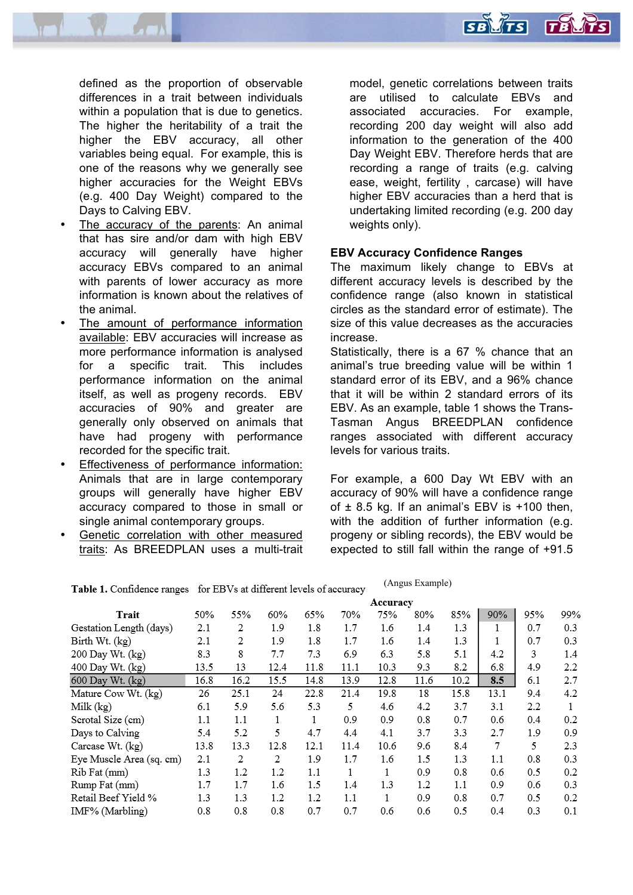

defined as the proportion of observable differences in a trait between individuals within a population that is due to genetics. The higher the heritability of a trait the higher the EBV accuracy, all other variables being equal. For example, this is one of the reasons why we generally see higher accuracies for the Weight EBVs (e.g. 400 Day Weight) compared to the Days to Calving EBV.

- The accuracy of the parents: An animal that has sire and/or dam with high EBV accuracy will generally have higher accuracy EBVs compared to an animal with parents of lower accuracy as more information is known about the relatives of the animal.
- The amount of performance information available: EBV accuracies will increase as more performance information is analysed for a specific trait. This includes performance information on the animal itself, as well as progeny records. EBV accuracies of 90% and greater are generally only observed on animals that have had progeny with performance recorded for the specific trait.
- Effectiveness of performance information: Animals that are in large contemporary groups will generally have higher EBV accuracy compared to those in small or single animal contemporary groups.
- Genetic correlation with other measured traits: As BREEDPLAN uses a multi-trait

model, genetic correlations between traits are utilised to calculate EBVs and associated accuracies. For example, recording 200 day weight will also add information to the generation of the 400 Day Weight EBV. Therefore herds that are recording a range of traits (e.g. calving ease, weight, fertility , carcase) will have higher EBV accuracies than a herd that is undertaking limited recording (e.g. 200 day weights only).

**SB** 475

 $\Gamma B$ 

#### **EBV Accuracy Confidence Ranges**

The maximum likely change to EBVs at different accuracy levels is described by the confidence range (also known in statistical circles as the standard error of estimate). The size of this value decreases as the accuracies increase.

Statistically, there is a 67 % chance that an animal's true breeding value will be within 1 standard error of its EBV, and a 96% chance that it will be within 2 standard errors of its EBV. As an example, table 1 shows the Trans-Tasman Angus BREEDPLAN confidence ranges associated with different accuracy levels for various traits.

For example, a 600 Day Wt EBV with an accuracy of 90% will have a confidence range of  $\pm$  8.5 kg. If an animal's EBV is  $+100$  then, with the addition of further information (e.g. progeny or sibling records), the EBV would be expected to still fall within the range of +91.5

|                          |      |      |      |      |      | Accuracy |      |      |      |     |     |
|--------------------------|------|------|------|------|------|----------|------|------|------|-----|-----|
| Trait                    | 50%  | 55%  | 60%  | 65%  | 70%  | 75%      | 80%  | 85%  | 90%  | 95% | 99% |
| Gestation Length (days)  | 2.1  | 2    | 1.9  | 1.8  | 1.7  | 1.6      | 1.4  | 1.3  | 1    | 0.7 | 0.3 |
| Birth Wt. (kg)           | 2.1  | 2    | 1.9  | 1.8  | 1.7  | 1.6      | 1.4  | 1.3  | 1    | 0.7 | 0.3 |
| 200 Day Wt. (kg)         | 8.3  | 8    | 7.7  | 7.3  | 6.9  | 6.3      | 5.8  | 5.1  | 4.2  | 3   | 1.4 |
| 400 Day Wt. (kg)         | 13.5 | 13   | 12.4 | 11.8 | 11.1 | 10.3     | 9.3  | 8.2  | 6.8  | 4.9 | 2.2 |
| 600 Day Wt. (kg)         | 16.8 | 16.2 | 15.5 | 14.8 | 13.9 | 12.8     | 11.6 | 10.2 | 8.5  | 6.1 | 2.7 |
| Mature Cow Wt. (kg)      | 26   | 25.1 | 24   | 22.8 | 21.4 | 19.8     | 18   | 15.8 | 13.1 | 9.4 | 4.2 |
| Milk $(kg)$              | 6.1  | 5.9  | 5.6  | 5.3  | 5    | 4.6      | 4.2  | 3.7  | 3.1  | 2.2 |     |
| Scrotal Size (cm)        | 1.1  | 1.1  | 1    |      | 0.9  | 0.9      | 0.8  | 0.7  | 0.6  | 0.4 | 0.2 |
| Days to Calving          | 5.4  | 5.2  | 5    | 4.7  | 4.4  | 4.1      | 3.7  | 3.3  | 2.7  | 1.9 | 0.9 |
| Carcase Wt. (kg)         | 13.8 | 13.3 | 12.8 | 12.1 | 11.4 | 10.6     | 9.6  | 8.4  | 7    | 5   | 2.3 |
| Eye Muscle Area (sq. cm) | 2.1  | 2    | 2    | 1.9  | 1.7  | 1.6      | 1.5  | 1.3  | 1.1  | 0.8 | 0.3 |
| Rib Fat (mm)             | 1.3  | 1.2  | 1.2  | 1.1  | 1    | 1        | 0.9  | 0.8  | 0.6  | 0.5 | 0.2 |
| Rump Fat (mm)            | 1.7  | 1.7  | 1.6  | 1.5  | 1.4  | 1.3      | 1.2  | 1.1  | 0.9  | 0.6 | 0.3 |
| Retail Beef Yield %      | 1.3  | 1.3  | 1.2  | 1.2  | 1.1  | 1        | 0.9  | 0.8  | 0.7  | 0.5 | 0.2 |
| IMF% (Marbling)          | 0.8  | 0.8  | 0.8  | 0.7  | 0.7  | 0.6      | 0.6  | 0.5  | 0.4  | 0.3 | 0.1 |

(Angus Example)Table 1. Confidence ranges for EBVs at different levels of accuracy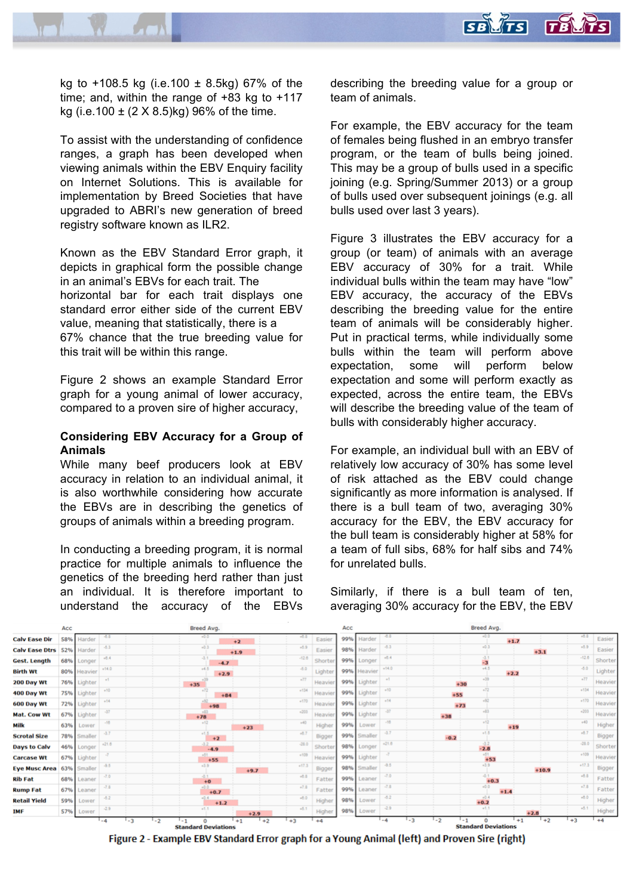

kg to  $+108.5$  kg (i.e.100  $\pm$  8.5kg) 67% of the time; and, within the range of +83 kg to +117 kg (i.e.100  $\pm$  (2 X 8.5)kg) 96% of the time.

To assist with the understanding of confidence ranges, a graph has been developed when viewing animals within the EBV Enquiry facility on Internet Solutions. This is available for implementation by Breed Societies that have upgraded to ABRI's new generation of breed registry software known as ILR2.

Known as the EBV Standard Error graph, it depicts in graphical form the possible change in an animal's EBVs for each trait. The horizontal bar for each trait displays one standard error either side of the current EBV value, meaning that statistically, there is a 67% chance that the true breeding value for this trait will be within this range.

Figure 2 shows an example Standard Error graph for a young animal of lower accuracy, compared to a proven sire of higher accuracy,

## **Considering EBV Accuracy for a Group of Animals**

While many beef producers look at EBV accuracy in relation to an individual animal, it is also worthwhile considering how accurate the EBVs are in describing the genetics of groups of animals within a breeding program.

In conducting a breeding program, it is normal practice for multiple animals to influence the genetics of the breeding herd rather than just an individual. It is therefore important to understand the accuracy of the EBVs

describing the breeding value for a group or team of animals.

For example, the EBV accuracy for the team of females being flushed in an embryo transfer program, or the team of bulls being joined. This may be a group of bulls used in a specific joining (e.g. Spring/Summer 2013) or a group of bulls used over subsequent joinings (e.g. all bulls used over last 3 years).

Figure 3 illustrates the EBV accuracy for a group (or team) of animals with an average EBV accuracy of 30% for a trait. While individual bulls within the team may have "low" EBV accuracy, the accuracy of the EBVs describing the breeding value for the entire team of animals will be considerably higher. Put in practical terms, while individually some bulls within the team will perform above expectation, some will perform below expectation and some will perform exactly as expected, across the entire team, the EBVs will describe the breeding value of the team of bulls with considerably higher accuracy.

For example, an individual bull with an EBV of relatively low accuracy of 30% has some level of risk attached as the EBV could change significantly as more information is analysed. If there is a bull team of two, averaging 30% accuracy for the EBV, the EBV accuracy for the bull team is considerably higher at 58% for a team of full sibs, 68% for half sibs and 74% for unrelated bulls.

Similarly, if there is a bull team of ten, averaging 30% accuracy for the EBV, the EBV



Figure 2 - Example EBV Standard Error graph for a Young Animal (left) and Proven Sire (right)